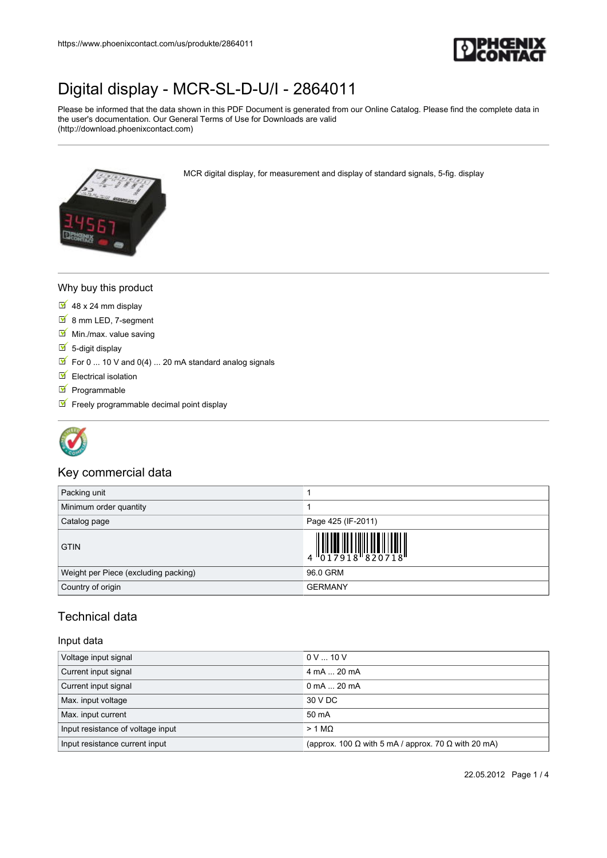

Please be informed that the data shown in this PDF Document is generated from our Online Catalog. Please find the complete data in the user's documentation. Our General Terms of Use for Downloads are valid (http://download.phoenixcontact.com)

MCR digital display, for measurement and display of standard signals, 5-fig. display



#### Why buy this product

- $\overline{9}$  48 x 24 mm display
- 8 mm LED, 7-segment
- $M$  Min./max. value saving
- $\overline{\phantom{a}}$  5-digit display
- $\boxed{\blacktriangleright}$  For 0 ... 10 V and 0(4) ... 20 mA standard analog signals
- $\blacksquare$  Electrical isolation
- $\blacksquare$  Programmable
- $F$  Freely programmable decimal point display



#### Key commercial data

| Packing unit                         |                                                                                                    |
|--------------------------------------|----------------------------------------------------------------------------------------------------|
| Minimum order quantity               |                                                                                                    |
| Catalog page                         | Page 425 (IF-2011)                                                                                 |
| <b>GTIN</b>                          | $\begin{array}{c} 1 & 0 & 0 & 0 \\ 0 & 1 & 0 & 0 \\ 0 & 1 & 0 & 0 \\ 0 & 0 & 0 & 0 \\ \end{array}$ |
| Weight per Piece (excluding packing) | 96.0 GRM                                                                                           |
| Country of origin                    | <b>GERMANY</b>                                                                                     |

### Technical data

#### Input data

| Voltage input signal              | $0 \vee  10 \vee$                                                 |
|-----------------------------------|-------------------------------------------------------------------|
| Current input signal              | 4 mA  20 mA                                                       |
| Current input signal              | $0 \text{ mA}$ $\ldots$ 20 mA                                     |
| Max. input voltage                | 30 V DC                                                           |
| Max. input current                | 50 mA                                                             |
| Input resistance of voltage input | $> 1 M\Omega$                                                     |
| Input resistance current input    | (approx. 100 $\Omega$ with 5 mA / approx. 70 $\Omega$ with 20 mA) |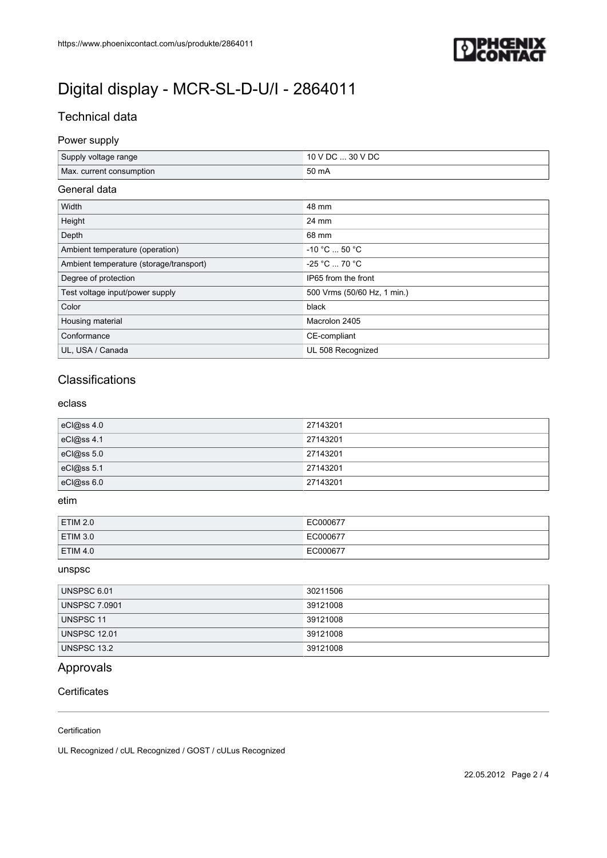

## Technical data

#### Power supply

| Supply voltage range     | / DC  30 V DC |
|--------------------------|---------------|
| Max. current consumption | 50 mA         |

#### General data

| Width                                   | 48 mm                       |
|-----------------------------------------|-----------------------------|
| Height                                  | 24 mm                       |
| Depth                                   | 68 mm                       |
| Ambient temperature (operation)         | $-10 °C  50 °C$             |
| Ambient temperature (storage/transport) | $-25 °C  70 °C$             |
| Degree of protection                    | IP65 from the front         |
| Test voltage input/power supply         | 500 Vrms (50/60 Hz, 1 min.) |
| Color                                   | black                       |
| Housing material                        | Macrolon 2405               |
| Conformance                             | CE-compliant                |
| UL, USA / Canada                        | UL 508 Recognized           |

### **Classifications**

#### eclass

| eC @ss 4.0 | 27143201 |
|------------|----------|
| eCl@ss 4.1 | 27143201 |
| eCl@ss 5.0 | 27143201 |
| eCl@ss 5.1 | 27143201 |
| eCl@ss 6.0 | 27143201 |

#### etim

| <b>ETIM 2.0</b> | EC000677 |
|-----------------|----------|
| <b>ETIM 3.0</b> | EC000677 |
| <b>ETIM 4.0</b> | EC000677 |

#### unspsc

| UNSPSC 6.01          | 30211506 |
|----------------------|----------|
| <b>UNSPSC 7.0901</b> | 39121008 |
| UNSPSC 11            | 39121008 |
| <b>UNSPSC 12.01</b>  | 39121008 |
| UNSPSC 13.2          | 39121008 |

## Approvals

#### **Certificates**

#### Certification

UL Recognized / cUL Recognized / GOST / cULus Recognized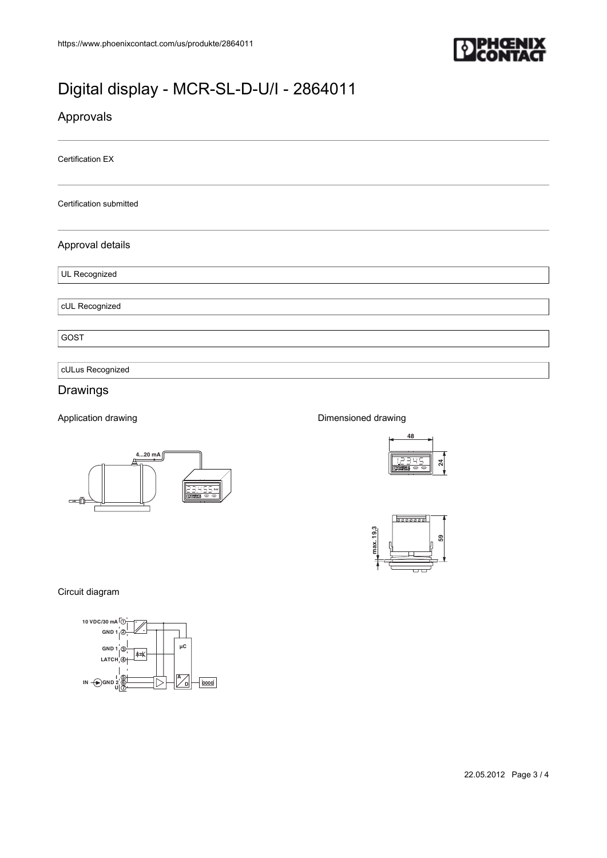

### Approvals

Certification EX

Certification submitted

#### Approval details

UL Recognized

cUL Recognized

GOST

cULus Recognized

#### Drawings

Application drawing



#### Dimensioned drawing





Circuit diagram